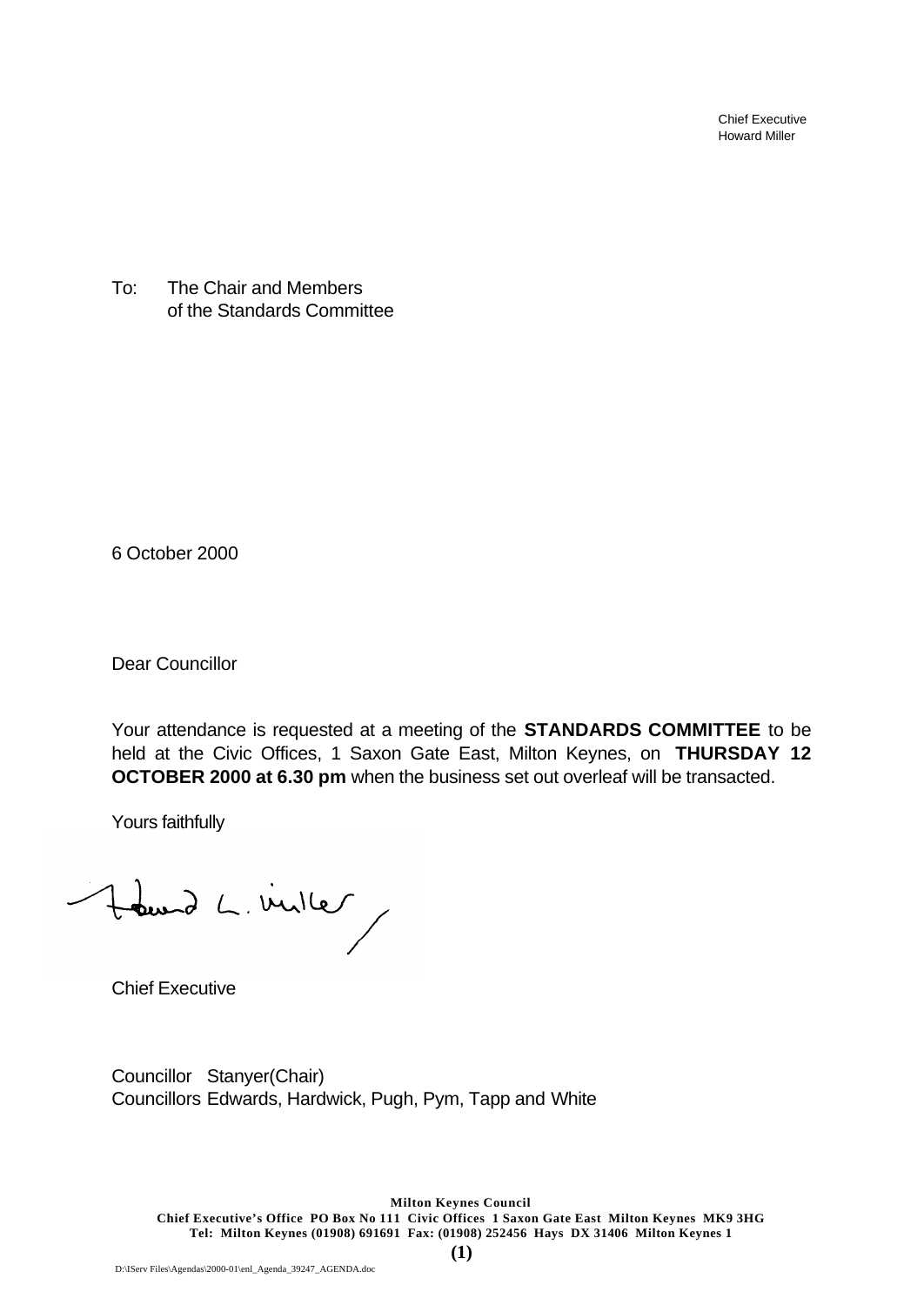Chief Executive Howard Miller

To: The Chair and Members of the Standards Committee

6 October 2000

Dear Councillor

Your attendance is requested at a meeting of the **STANDARDS COMMITTEE** to be held at the Civic Offices, 1 Saxon Gate East, Milton Keynes, on **THURSDAY 12 OCTOBER 2000 at 6.30 pm** when the business set out overleaf will be transacted.

Yours faithfully

Hourd L. Ville

Chief Executive

Councillor Stanyer(Chair) Councillors Edwards, Hardwick, Pugh, Pym, Tapp and White

**Milton Keynes Council Chief Executive's Office PO Box No 111 Civic Offices 1 Saxon Gate East Milton Keynes MK9 3HG Tel: Milton Keynes (01908) 691691 Fax: (01908) 252456 Hays DX 31406 Milton Keynes 1**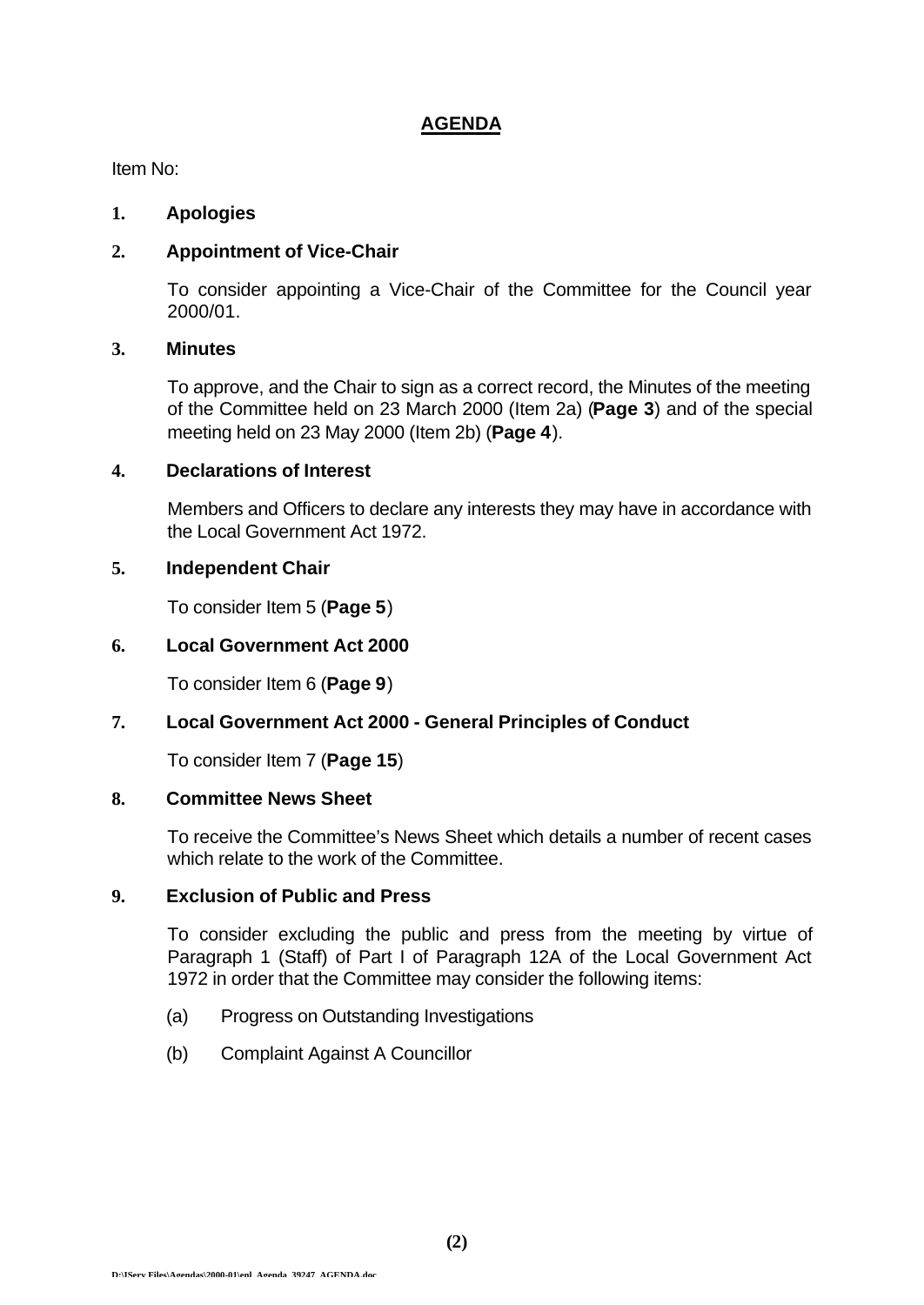## **AGENDA**

Item No:

#### **1. Apologies**

## **2. Appointment of Vice-Chair**

To consider appointing a Vice-Chair of the Committee for the Council year 2000/01.

#### **3. Minutes**

To approve, and the Chair to sign as a correct record, the Minutes of the meeting of the Committee held on 23 March 2000 (Item 2a) (**Page 3**) and of the special meeting held on 23 May 2000 (Item 2b) (**Page 4**).

## **4. Declarations of Interest**

Members and Officers to declare any interests they may have in accordance with the Local Government Act 1972.

## **5. Independent Chair**

To consider Item 5 (**Page 5**)

## **6. Local Government Act 2000**

To consider Item 6 (**Page 9**)

## **7. Local Government Act 2000 - General Principles of Conduct**

To consider Item 7 (**Page 15**)

#### **8. Committee News Sheet**

To receive the Committee's News Sheet which details a number of recent cases which relate to the work of the Committee.

#### **9. Exclusion of Public and Press**

To consider excluding the public and press from the meeting by virtue of Paragraph 1 (Staff) of Part I of Paragraph 12A of the Local Government Act 1972 in order that the Committee may consider the following items:

- (a) Progress on Outstanding Investigations
- (b) Complaint Against A Councillor